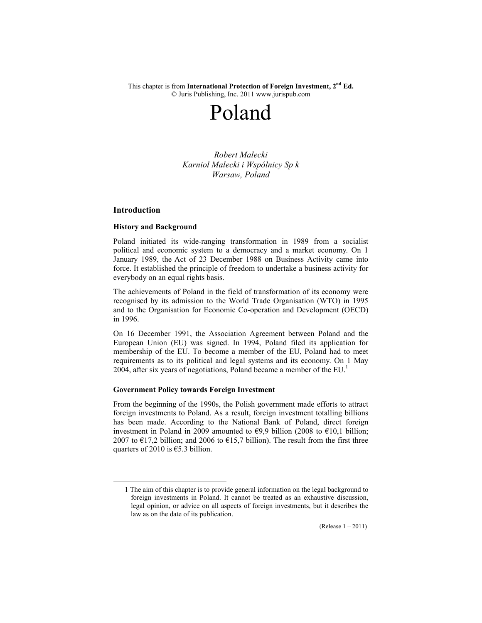This chapter is from **International Protection of Foreign Investment, 2nd Ed.**  © Juris Publishing, Inc. 2011 www.jurispub.com

# Poland

*Robert Malecki Karniol Malecki i Wspólnicy Sp k Warsaw, Poland* 

# **Introduction**

## **History and Background**

Poland initiated its wide-ranging transformation in 1989 from a socialist political and economic system to a democracy and a market economy. On 1 January 1989, the Act of 23 December 1988 on Business Activity came into force. It established the principle of freedom to undertake a business activity for everybody on an equal rights basis.

The achievements of Poland in the field of transformation of its economy were recognised by its admission to the World Trade Organisation (WTO) in 1995 and to the Organisation for Economic Co-operation and Development (OECD) in 1996.

On 16 December 1991, the Association Agreement between Poland and the European Union (EU) was signed. In 1994, Poland filed its application for membership of the EU. To become a member of the EU, Poland had to meet requirements as to its political and legal systems and its economy. On 1 May 2004, after six years of negotiations, Poland became a member of the  $EU<sup>1</sup>$ 

# **Government Policy towards Foreign Investment**

From the beginning of the 1990s, the Polish government made efforts to attract foreign investments to Poland. As a result, foreign investment totalling billions has been made. According to the National Bank of Poland, direct foreign investment in Poland in 2009 amounted to  $\epsilon$ 9,9 billion (2008 to  $\epsilon$ 10,1 billion; 2007 to  $\epsilon$ 17,2 billion; and 2006 to  $\epsilon$ 15,7 billion). The result from the first three quarters of 2010 is  $€5.3$  billion.

 <sup>1</sup> The aim of this chapter is to provide general information on the legal background to foreign investments in Poland. It cannot be treated as an exhaustive discussion, legal opinion, or advice on all aspects of foreign investments, but it describes the law as on the date of its publication.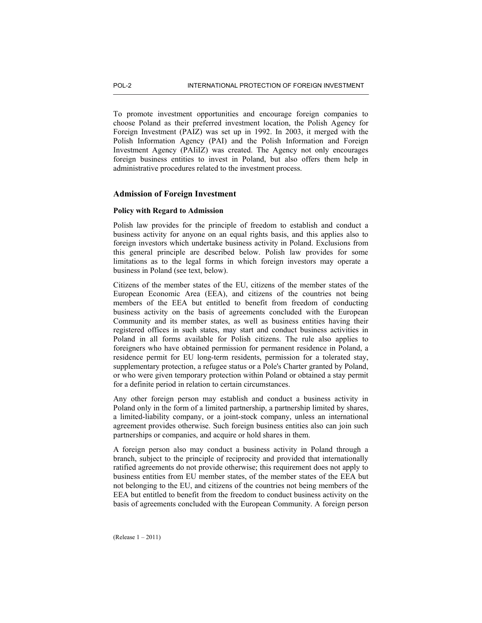To promote investment opportunities and encourage foreign companies to choose Poland as their preferred investment location, the Polish Agency for Foreign Investment (PAIZ) was set up in 1992. In 2003, it merged with the Polish Information Agency (PAI) and the Polish Information and Foreign Investment Agency (PAIiIZ) was created. The Agency not only encourages foreign business entities to invest in Poland, but also offers them help in administrative procedures related to the investment process.

# **Admission of Foreign Investment**

## **Policy with Regard to Admission**

Polish law provides for the principle of freedom to establish and conduct a business activity for anyone on an equal rights basis, and this applies also to foreign investors which undertake business activity in Poland. Exclusions from this general principle are described below. Polish law provides for some limitations as to the legal forms in which foreign investors may operate a business in Poland (see text, below).

Citizens of the member states of the EU, citizens of the member states of the European Economic Area (EEA), and citizens of the countries not being members of the EEA but entitled to benefit from freedom of conducting business activity on the basis of agreements concluded with the European Community and its member states, as well as business entities having their registered offices in such states, may start and conduct business activities in Poland in all forms available for Polish citizens. The rule also applies to foreigners who have obtained permission for permanent residence in Poland, a residence permit for EU long-term residents, permission for a tolerated stay, supplementary protection, a refugee status or a Pole's Charter granted by Poland, or who were given temporary protection within Poland or obtained a stay permit for a definite period in relation to certain circumstances.

Any other foreign person may establish and conduct a business activity in Poland only in the form of a limited partnership, a partnership limited by shares, a limited-liability company, or a joint-stock company, unless an international agreement provides otherwise. Such foreign business entities also can join such partnerships or companies, and acquire or hold shares in them.

A foreign person also may conduct a business activity in Poland through a branch, subject to the principle of reciprocity and provided that internationally ratified agreements do not provide otherwise; this requirement does not apply to business entities from EU member states, of the member states of the EEA but not belonging to the EU, and citizens of the countries not being members of the EEA but entitled to benefit from the freedom to conduct business activity on the basis of agreements concluded with the European Community. A foreign person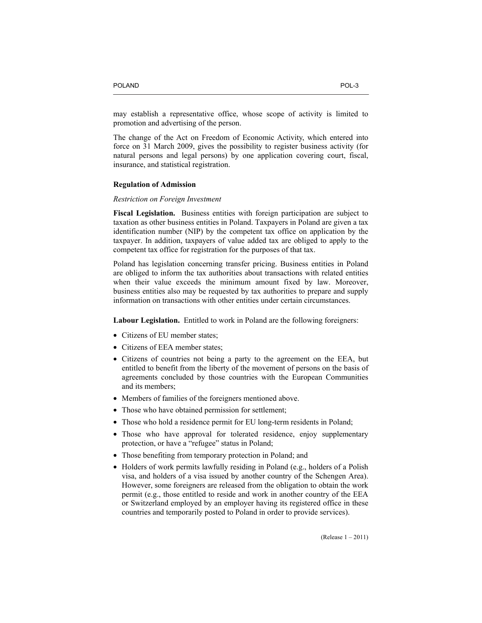may establish a representative office, whose scope of activity is limited to promotion and advertising of the person.

The change of the Act on Freedom of Economic Activity, which entered into force on 31 March 2009, gives the possibility to register business activity (for natural persons and legal persons) by one application covering court, fiscal, insurance, and statistical registration.

#### **Regulation of Admission**

## *Restriction on Foreign Investment*

**Fiscal Legislation.** Business entities with foreign participation are subject to taxation as other business entities in Poland. Taxpayers in Poland are given a tax identification number (NIP) by the competent tax office on application by the taxpayer. In addition, taxpayers of value added tax are obliged to apply to the competent tax office for registration for the purposes of that tax.

Poland has legislation concerning transfer pricing. Business entities in Poland are obliged to inform the tax authorities about transactions with related entities when their value exceeds the minimum amount fixed by law. Moreover, business entities also may be requested by tax authorities to prepare and supply information on transactions with other entities under certain circumstances.

**Labour Legislation.** Entitled to work in Poland are the following foreigners:

- Citizens of EU member states:
- Citizens of EEA member states:
- Citizens of countries not being a party to the agreement on the EEA, but entitled to benefit from the liberty of the movement of persons on the basis of agreements concluded by those countries with the European Communities and its members;
- Members of families of the foreigners mentioned above.
- Those who have obtained permission for settlement;
- Those who hold a residence permit for EU long-term residents in Poland;
- Those who have approval for tolerated residence, enjoy supplementary protection, or have a "refugee" status in Poland;
- Those benefiting from temporary protection in Poland; and
- Holders of work permits lawfully residing in Poland (e.g., holders of a Polish visa, and holders of a visa issued by another country of the Schengen Area). However, some foreigners are released from the obligation to obtain the work permit (e.g., those entitled to reside and work in another country of the EEA or Switzerland employed by an employer having its registered office in these countries and temporarily posted to Poland in order to provide services).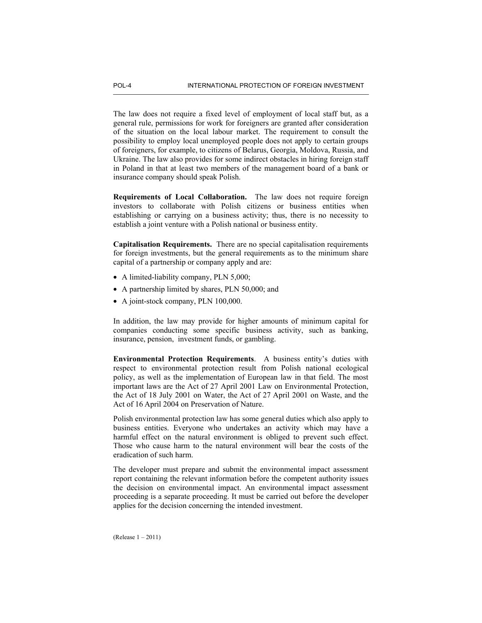The law does not require a fixed level of employment of local staff but, as a general rule, permissions for work for foreigners are granted after consideration of the situation on the local labour market. The requirement to consult the possibility to employ local unemployed people does not apply to certain groups of foreigners, for example, to citizens of Belarus, Georgia, Moldova, Russia, and Ukraine. The law also provides for some indirect obstacles in hiring foreign staff in Poland in that at least two members of the management board of a bank or insurance company should speak Polish.

**Requirements of Local Collaboration.** The law does not require foreign investors to collaborate with Polish citizens or business entities when establishing or carrying on a business activity; thus, there is no necessity to establish a joint venture with a Polish national or business entity.

**Capitalisation Requirements.** There are no special capitalisation requirements for foreign investments, but the general requirements as to the minimum share capital of a partnership or company apply and are:

- A limited-liability company, PLN 5,000;
- A partnership limited by shares, PLN 50,000; and
- A joint-stock company, PLN 100,000.

In addition, the law may provide for higher amounts of minimum capital for companies conducting some specific business activity, such as banking, insurance, pension, investment funds, or gambling.

**Environmental Protection Requirements**. A business entity's duties with respect to environmental protection result from Polish national ecological policy, as well as the implementation of European law in that field. The most important laws are the Act of 27 April 2001 Law on Environmental Protection, the Act of 18 July 2001 on Water, the Act of 27 April 2001 on Waste, and the Act of 16 April 2004 on Preservation of Nature.

Polish environmental protection law has some general duties which also apply to business entities. Everyone who undertakes an activity which may have a harmful effect on the natural environment is obliged to prevent such effect. Those who cause harm to the natural environment will bear the costs of the eradication of such harm.

The developer must prepare and submit the environmental impact assessment report containing the relevant information before the competent authority issues the decision on environmental impact. An environmental impact assessment proceeding is a separate proceeding. It must be carried out before the developer applies for the decision concerning the intended investment.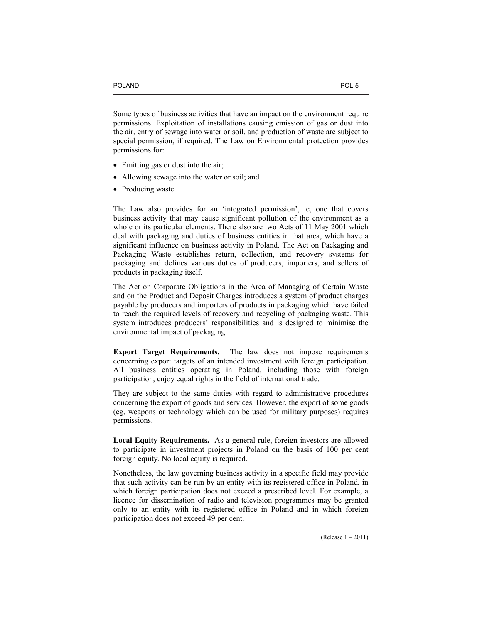Some types of business activities that have an impact on the environment require permissions. Exploitation of installations causing emission of gas or dust into the air, entry of sewage into water or soil, and production of waste are subject to special permission, if required. The Law on Environmental protection provides permissions for:

- Emitting gas or dust into the air;
- Allowing sewage into the water or soil; and
- Producing waste.

The Law also provides for an 'integrated permission', ie, one that covers business activity that may cause significant pollution of the environment as a whole or its particular elements. There also are two Acts of 11 May 2001 which deal with packaging and duties of business entities in that area, which have a significant influence on business activity in Poland. The Act on Packaging and Packaging Waste establishes return, collection, and recovery systems for packaging and defines various duties of producers, importers, and sellers of products in packaging itself.

The Act on Corporate Obligations in the Area of Managing of Certain Waste and on the Product and Deposit Charges introduces a system of product charges payable by producers and importers of products in packaging which have failed to reach the required levels of recovery and recycling of packaging waste. This system introduces producers' responsibilities and is designed to minimise the environmental impact of packaging.

**Export Target Requirements.** The law does not impose requirements concerning export targets of an intended investment with foreign participation. All business entities operating in Poland, including those with foreign participation, enjoy equal rights in the field of international trade.

They are subject to the same duties with regard to administrative procedures concerning the export of goods and services. However, the export of some goods (eg, weapons or technology which can be used for military purposes) requires permissions.

**Local Equity Requirements.** As a general rule, foreign investors are allowed to participate in investment projects in Poland on the basis of 100 per cent foreign equity. No local equity is required.

Nonetheless, the law governing business activity in a specific field may provide that such activity can be run by an entity with its registered office in Poland, in which foreign participation does not exceed a prescribed level. For example, a licence for dissemination of radio and television programmes may be granted only to an entity with its registered office in Poland and in which foreign participation does not exceed 49 per cent.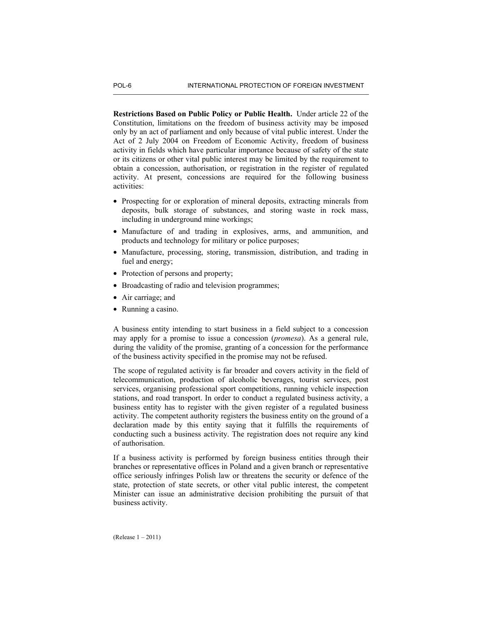**Restrictions Based on Public Policy or Public Health.** Under article 22 of the Constitution, limitations on the freedom of business activity may be imposed only by an act of parliament and only because of vital public interest. Under the Act of 2 July 2004 on Freedom of Economic Activity, freedom of business activity in fields which have particular importance because of safety of the state or its citizens or other vital public interest may be limited by the requirement to obtain a concession, authorisation, or registration in the register of regulated activity. At present, concessions are required for the following business activities:

- Prospecting for or exploration of mineral deposits, extracting minerals from deposits, bulk storage of substances, and storing waste in rock mass, including in underground mine workings;
- Manufacture of and trading in explosives, arms, and ammunition, and products and technology for military or police purposes;
- Manufacture, processing, storing, transmission, distribution, and trading in fuel and energy;
- Protection of persons and property;
- Broadcasting of radio and television programmes;
- Air carriage; and
- Running a casino.

A business entity intending to start business in a field subject to a concession may apply for a promise to issue a concession (*promesa*). As a general rule, during the validity of the promise, granting of a concession for the performance of the business activity specified in the promise may not be refused.

The scope of regulated activity is far broader and covers activity in the field of telecommunication, production of alcoholic beverages, tourist services, post services, organising professional sport competitions, running vehicle inspection stations, and road transport. In order to conduct a regulated business activity, a business entity has to register with the given register of a regulated business activity. The competent authority registers the business entity on the ground of a declaration made by this entity saying that it fulfills the requirements of conducting such a business activity. The registration does not require any kind of authorisation.

If a business activity is performed by foreign business entities through their branches or representative offices in Poland and a given branch or representative office seriously infringes Polish law or threatens the security or defence of the state, protection of state secrets, or other vital public interest, the competent Minister can issue an administrative decision prohibiting the pursuit of that business activity.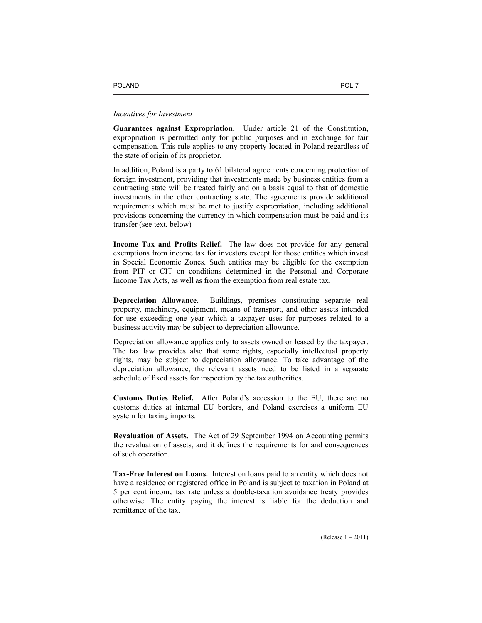## *Incentives for Investment*

**Guarantees against Expropriation.** Under article 21 of the Constitution, expropriation is permitted only for public purposes and in exchange for fair compensation. This rule applies to any property located in Poland regardless of the state of origin of its proprietor.

In addition, Poland is a party to 61 bilateral agreements concerning protection of foreign investment, providing that investments made by business entities from a contracting state will be treated fairly and on a basis equal to that of domestic investments in the other contracting state. The agreements provide additional requirements which must be met to justify expropriation, including additional provisions concerning the currency in which compensation must be paid and its transfer (see text, below)

**Income Tax and Profits Relief.** The law does not provide for any general exemptions from income tax for investors except for those entities which invest in Special Economic Zones. Such entities may be eligible for the exemption from PIT or CIT on conditions determined in the Personal and Corporate Income Tax Acts, as well as from the exemption from real estate tax.

**Depreciation Allowance.** Buildings, premises constituting separate real property, machinery, equipment, means of transport, and other assets intended for use exceeding one year which a taxpayer uses for purposes related to a business activity may be subject to depreciation allowance.

Depreciation allowance applies only to assets owned or leased by the taxpayer. The tax law provides also that some rights, especially intellectual property rights, may be subject to depreciation allowance. To take advantage of the depreciation allowance, the relevant assets need to be listed in a separate schedule of fixed assets for inspection by the tax authorities.

**Customs Duties Relief.** After Poland's accession to the EU, there are no customs duties at internal EU borders, and Poland exercises a uniform EU system for taxing imports.

**Revaluation of Assets.** The Act of 29 September 1994 on Accounting permits the revaluation of assets, and it defines the requirements for and consequences of such operation.

**Tax-Free Interest on Loans.** Interest on loans paid to an entity which does not have a residence or registered office in Poland is subject to taxation in Poland at 5 per cent income tax rate unless a double-taxation avoidance treaty provides otherwise. The entity paying the interest is liable for the deduction and remittance of the tax.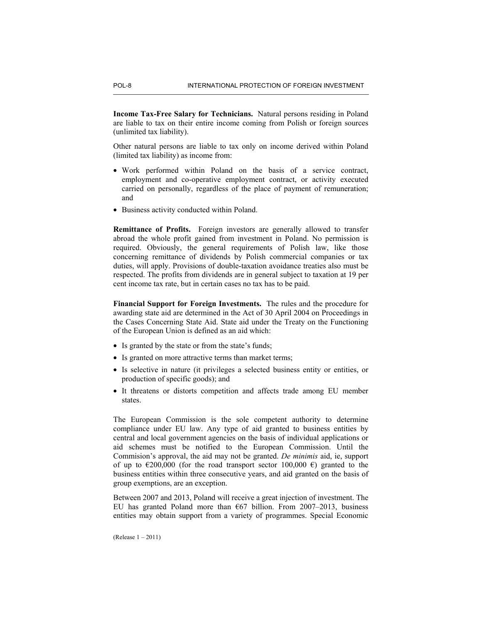**Income Tax-Free Salary for Technicians.** Natural persons residing in Poland are liable to tax on their entire income coming from Polish or foreign sources (unlimited tax liability).

Other natural persons are liable to tax only on income derived within Poland (limited tax liability) as income from:

- Work performed within Poland on the basis of a service contract, employment and co-operative employment contract, or activity executed carried on personally, regardless of the place of payment of remuneration; and
- Business activity conducted within Poland.

**Remittance of Profits.** Foreign investors are generally allowed to transfer abroad the whole profit gained from investment in Poland. No permission is required. Obviously, the general requirements of Polish law, like those concerning remittance of dividends by Polish commercial companies or tax duties, will apply. Provisions of double-taxation avoidance treaties also must be respected. The profits from dividends are in general subject to taxation at 19 per cent income tax rate, but in certain cases no tax has to be paid.

**Financial Support for Foreign Investments.** The rules and the procedure for awarding state aid are determined in the Act of 30 April 2004 on Proceedings in the Cases Concerning State Aid. State aid under the Treaty on the Functioning of the European Union is defined as an aid which:

- Is granted by the state or from the state's funds;
- Is granted on more attractive terms than market terms;
- Is selective in nature (it privileges a selected business entity or entities, or production of specific goods); and
- It threatens or distorts competition and affects trade among EU member states.

The European Commission is the sole competent authority to determine compliance under EU law. Any type of aid granted to business entities by central and local government agencies on the basis of individual applications or aid schemes must be notified to the European Commission. Until the Commision's approval, the aid may not be granted. *De minimis* aid, ie, support of up to  $\epsilon$ 200,000 (for the road transport sector 100,000  $\epsilon$ ) granted to the business entities within three consecutive years, and aid granted on the basis of group exemptions, are an exception.

Between 2007 and 2013, Poland will receive a great injection of investment. The EU has granted Poland more than  $\epsilon$ 67 billion. From 2007–2013, business entities may obtain support from a variety of programmes. Special Economic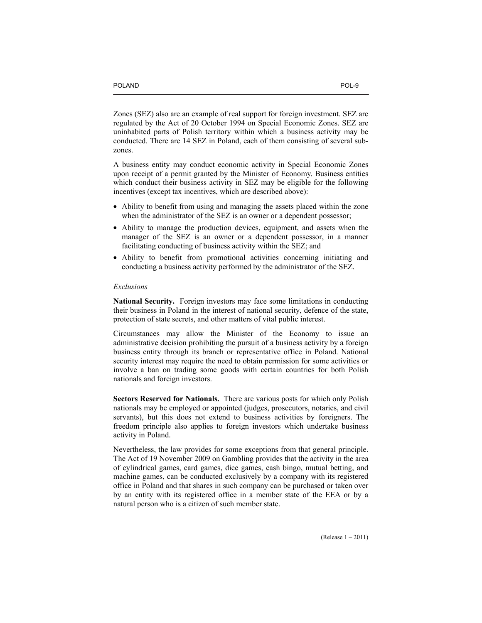Zones (SEZ) also are an example of real support for foreign investment. SEZ are regulated by the Act of 20 October 1994 on Special Economic Zones. SEZ are uninhabited parts of Polish territory within which a business activity may be conducted. There are 14 SEZ in Poland, each of them consisting of several subzones.

A business entity may conduct economic activity in Special Economic Zones upon receipt of a permit granted by the Minister of Economy. Business entities which conduct their business activity in SEZ may be eligible for the following incentives (except tax incentives, which are described above):

- Ability to benefit from using and managing the assets placed within the zone when the administrator of the SEZ is an owner or a dependent possessor;
- Ability to manage the production devices, equipment, and assets when the manager of the SEZ is an owner or a dependent possessor, in a manner facilitating conducting of business activity within the SEZ; and
- Ability to benefit from promotional activities concerning initiating and conducting a business activity performed by the administrator of the SEZ.

## *Exclusions*

**National Security.** Foreign investors may face some limitations in conducting their business in Poland in the interest of national security, defence of the state, protection of state secrets, and other matters of vital public interest.

Circumstances may allow the Minister of the Economy to issue an administrative decision prohibiting the pursuit of a business activity by a foreign business entity through its branch or representative office in Poland. National security interest may require the need to obtain permission for some activities or involve a ban on trading some goods with certain countries for both Polish nationals and foreign investors.

**Sectors Reserved for Nationals.** There are various posts for which only Polish nationals may be employed or appointed (judges, prosecutors, notaries, and civil servants), but this does not extend to business activities by foreigners. The freedom principle also applies to foreign investors which undertake business activity in Poland.

Nevertheless, the law provides for some exceptions from that general principle. The Act of 19 November 2009 on Gambling provides that the activity in the area of cylindrical games, card games, dice games, cash bingo, mutual betting, and machine games, can be conducted exclusively by a company with its registered office in Poland and that shares in such company can be purchased or taken over by an entity with its registered office in a member state of the EEA or by a natural person who is a citizen of such member state.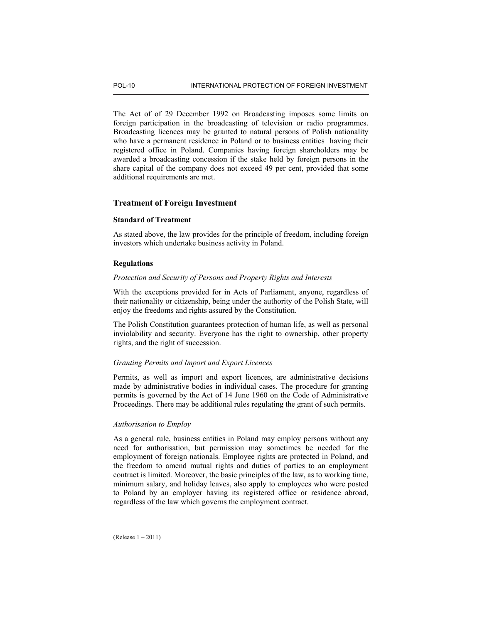The Act of of 29 December 1992 on Broadcasting imposes some limits on foreign participation in the broadcasting of television or radio programmes. Broadcasting licences may be granted to natural persons of Polish nationality who have a permanent residence in Poland or to business entities having their registered office in Poland. Companies having foreign shareholders may be awarded a broadcasting concession if the stake held by foreign persons in the share capital of the company does not exceed 49 per cent, provided that some additional requirements are met.

## **Treatment of Foreign Investment**

## **Standard of Treatment**

As stated above, the law provides for the principle of freedom, including foreign investors which undertake business activity in Poland.

## **Regulations**

## *Protection and Security of Persons and Property Rights and Interests*

With the exceptions provided for in Acts of Parliament, anyone, regardless of their nationality or citizenship, being under the authority of the Polish State, will enjoy the freedoms and rights assured by the Constitution.

The Polish Constitution guarantees protection of human life, as well as personal inviolability and security. Everyone has the right to ownership, other property rights, and the right of succession.

## *Granting Permits and Import and Export Licences*

Permits, as well as import and export licences, are administrative decisions made by administrative bodies in individual cases. The procedure for granting permits is governed by the Act of 14 June 1960 on the Code of Administrative Proceedings. There may be additional rules regulating the grant of such permits.

## *Authorisation to Employ*

As a general rule, business entities in Poland may employ persons without any need for authorisation, but permission may sometimes be needed for the employment of foreign nationals. Employee rights are protected in Poland, and the freedom to amend mutual rights and duties of parties to an employment contract is limited. Moreover, the basic principles of the law, as to working time, minimum salary, and holiday leaves, also apply to employees who were posted to Poland by an employer having its registered office or residence abroad, regardless of the law which governs the employment contract.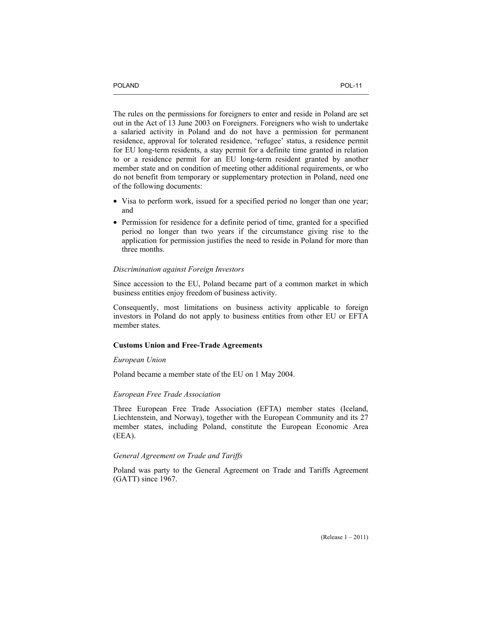The rules on the permissions for foreigners to enter and reside in Poland are set out in the Act of 13 June 2003 on Foreigners. Foreigners who wish to undertake a salaried activity in Poland and do not have a permission for permanent residence, approval for tolerated residence, 'refugee' status, a residence permit for EU long-term residents, a stay permit for a definite time granted in relation to or a residence permit for an EU long-term resident granted by another member state and on condition of meeting other additional requirements, or who do not benefit from temporary or supplementary protection in Poland, need one of the following documents:

- Visa to perform work, issued for a specified period no longer than one year; and
- Permission for residence for a definite period of time, granted for a specified period no longer than two years if the circumstance giving rise to the application for permission justifies the need to reside in Poland for more than three months.

#### *Discrimination against Foreign Investors*

Since accession to the EU, Poland became part of a common market in which business entities enjoy freedom of business activity.

Consequently, most limitations on business activity applicable to foreign investors in Poland do not apply to business entities from other EU or EFTA member states.

# **Customs Union and Free-Trade Agreements**

## *European Union*

Poland became a member state of the EU on 1 May 2004.

## *European Free Trade Association*

Three European Free Trade Association (EFTA) member states (Iceland, Liechtenstein, and Norway), together with the European Community and its 27 member states, including Poland, constitute the European Economic Area (EEA).

## *General Agreement on Trade and Tariffs*

Poland was party to the General Agreement on Trade and Tariffs Agreement (GATT) since 1967.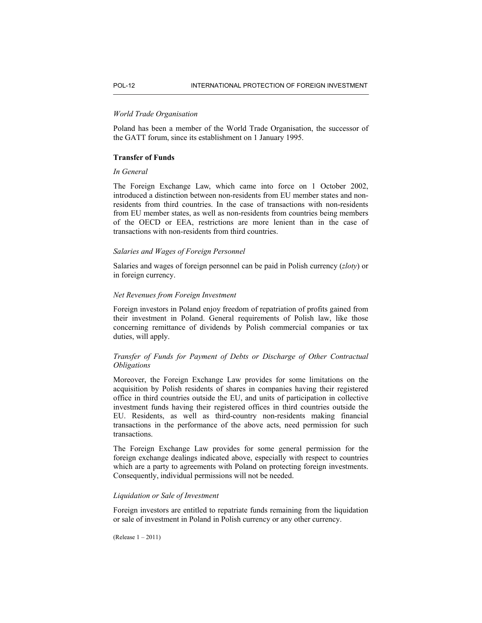## *World Trade Organisation*

Poland has been a member of the World Trade Organisation, the successor of the GATT forum, since its establishment on 1 January 1995.

## **Transfer of Funds**

## *In General*

The Foreign Exchange Law, which came into force on 1 October 2002, introduced a distinction between non-residents from EU member states and nonresidents from third countries. In the case of transactions with non-residents from EU member states, as well as non-residents from countries being members of the OECD or EEA, restrictions are more lenient than in the case of transactions with non-residents from third countries.

## *Salaries and Wages of Foreign Personnel*

Salaries and wages of foreign personnel can be paid in Polish currency (*zloty*) or in foreign currency.

## *Net Revenues from Foreign Investment*

Foreign investors in Poland enjoy freedom of repatriation of profits gained from their investment in Poland. General requirements of Polish law, like those concerning remittance of dividends by Polish commercial companies or tax duties, will apply.

# *Transfer of Funds for Payment of Debts or Discharge of Other Contractual Obligations*

Moreover, the Foreign Exchange Law provides for some limitations on the acquisition by Polish residents of shares in companies having their registered office in third countries outside the EU, and units of participation in collective investment funds having their registered offices in third countries outside the EU. Residents, as well as third-country non-residents making financial transactions in the performance of the above acts, need permission for such transactions.

The Foreign Exchange Law provides for some general permission for the foreign exchange dealings indicated above, especially with respect to countries which are a party to agreements with Poland on protecting foreign investments. Consequently, individual permissions will not be needed.

## *Liquidation or Sale of Investment*

Foreign investors are entitled to repatriate funds remaining from the liquidation or sale of investment in Poland in Polish currency or any other currency.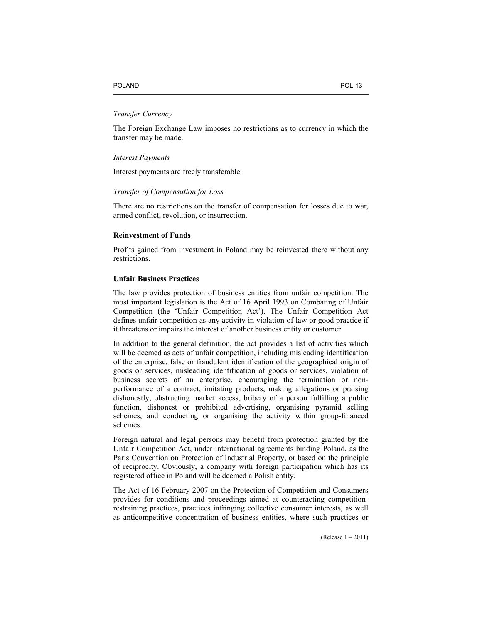#### POLAND POLAND POLAND

## *Transfer Currency*

The Foreign Exchange Law imposes no restrictions as to currency in which the transfer may be made.

#### *Interest Payments*

Interest payments are freely transferable.

#### *Transfer of Compensation for Loss*

There are no restrictions on the transfer of compensation for losses due to war, armed conflict, revolution, or insurrection.

## **Reinvestment of Funds**

Profits gained from investment in Poland may be reinvested there without any restrictions.

#### **Unfair Business Practices**

The law provides protection of business entities from unfair competition. The most important legislation is the Act of 16 April 1993 on Combating of Unfair Competition (the 'Unfair Competition Act'). The Unfair Competition Act defines unfair competition as any activity in violation of law or good practice if it threatens or impairs the interest of another business entity or customer.

In addition to the general definition, the act provides a list of activities which will be deemed as acts of unfair competition, including misleading identification of the enterprise, false or fraudulent identification of the geographical origin of goods or services, misleading identification of goods or services, violation of business secrets of an enterprise, encouraging the termination or nonperformance of a contract, imitating products, making allegations or praising dishonestly, obstructing market access, bribery of a person fulfilling a public function, dishonest or prohibited advertising, organising pyramid selling schemes, and conducting or organising the activity within group-financed schemes.

Foreign natural and legal persons may benefit from protection granted by the Unfair Competition Act, under international agreements binding Poland, as the Paris Convention on Protection of Industrial Property, or based on the principle of reciprocity. Obviously, a company with foreign participation which has its registered office in Poland will be deemed a Polish entity.

The Act of 16 February 2007 on the Protection of Competition and Consumers provides for conditions and proceedings aimed at counteracting competitionrestraining practices, practices infringing collective consumer interests, as well as anticompetitive concentration of business entities, where such practices or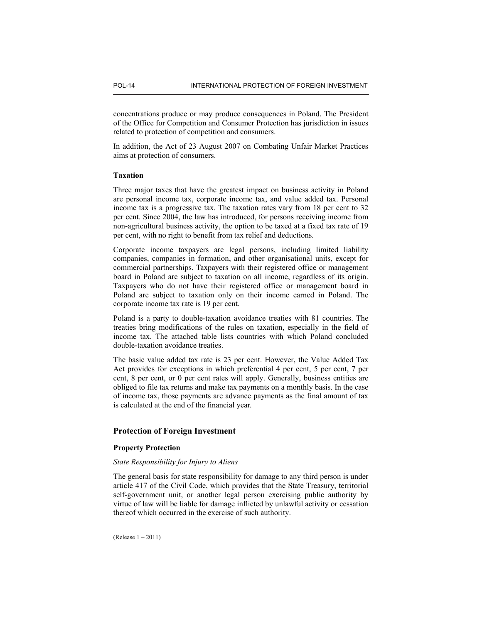concentrations produce or may produce consequences in Poland. The President of the Office for Competition and Consumer Protection has jurisdiction in issues related to protection of competition and consumers.

In addition, the Act of 23 August 2007 on Combating Unfair Market Practices aims at protection of consumers.

## **Taxation**

Three major taxes that have the greatest impact on business activity in Poland are personal income tax, corporate income tax, and value added tax. Personal income tax is a progressive tax. The taxation rates vary from 18 per cent to 32 per cent. Since 2004, the law has introduced, for persons receiving income from non-agricultural business activity, the option to be taxed at a fixed tax rate of 19 per cent, with no right to benefit from tax relief and deductions.

Corporate income taxpayers are legal persons, including limited liability companies, companies in formation, and other organisational units, except for commercial partnerships. Taxpayers with their registered office or management board in Poland are subject to taxation on all income, regardless of its origin. Taxpayers who do not have their registered office or management board in Poland are subject to taxation only on their income earned in Poland. The corporate income tax rate is 19 per cent.

Poland is a party to double-taxation avoidance treaties with 81 countries. The treaties bring modifications of the rules on taxation, especially in the field of income tax. The attached table lists countries with which Poland concluded double-taxation avoidance treaties.

The basic value added tax rate is 23 per cent. However, the Value Added Tax Act provides for exceptions in which preferential 4 per cent, 5 per cent, 7 per cent, 8 per cent, or 0 per cent rates will apply. Generally, business entities are obliged to file tax returns and make tax payments on a monthly basis. In the case of income tax, those payments are advance payments as the final amount of tax is calculated at the end of the financial year.

## **Protection of Foreign Investment**

# **Property Protection**

## *State Responsibility for Injury to Aliens*

The general basis for state responsibility for damage to any third person is under article 417 of the Civil Code, which provides that the State Treasury, territorial self-government unit, or another legal person exercising public authority by virtue of law will be liable for damage inflicted by unlawful activity or cessation thereof which occurred in the exercise of such authority.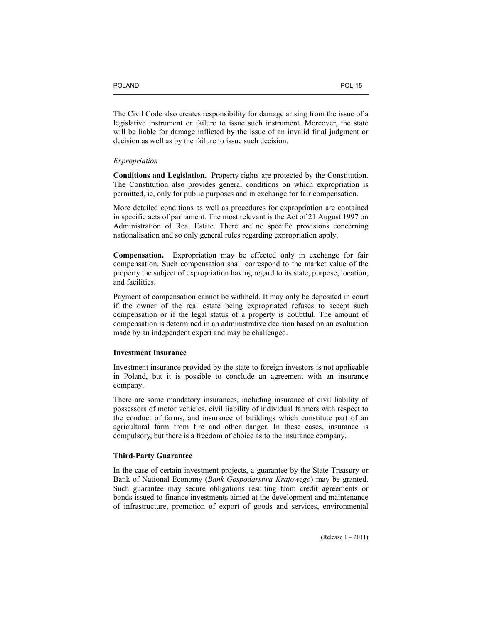The Civil Code also creates responsibility for damage arising from the issue of a legislative instrument or failure to issue such instrument. Moreover, the state will be liable for damage inflicted by the issue of an invalid final judgment or decision as well as by the failure to issue such decision.

## *Expropriation*

**Conditions and Legislation.** Property rights are protected by the Constitution. The Constitution also provides general conditions on which expropriation is permitted, ie, only for public purposes and in exchange for fair compensation.

More detailed conditions as well as procedures for expropriation are contained in specific acts of parliament. The most relevant is the Act of 21 August 1997 on Administration of Real Estate. There are no specific provisions concerning nationalisation and so only general rules regarding expropriation apply.

**Compensation.** Expropriation may be effected only in exchange for fair compensation. Such compensation shall correspond to the market value of the property the subject of expropriation having regard to its state, purpose, location, and facilities.

Payment of compensation cannot be withheld. It may only be deposited in court if the owner of the real estate being expropriated refuses to accept such compensation or if the legal status of a property is doubtful. The amount of compensation is determined in an administrative decision based on an evaluation made by an independent expert and may be challenged.

#### **Investment Insurance**

Investment insurance provided by the state to foreign investors is not applicable in Poland, but it is possible to conclude an agreement with an insurance company.

There are some mandatory insurances, including insurance of civil liability of possessors of motor vehicles, civil liability of individual farmers with respect to the conduct of farms, and insurance of buildings which constitute part of an agricultural farm from fire and other danger. In these cases, insurance is compulsory, but there is a freedom of choice as to the insurance company.

## **Third-Party Guarantee**

In the case of certain investment projects, a guarantee by the State Treasury or Bank of National Economy (*Bank Gospodarstwa Krajowego*) may be granted. Such guarantee may secure obligations resulting from credit agreements or bonds issued to finance investments aimed at the development and maintenance of infrastructure, promotion of export of goods and services, environmental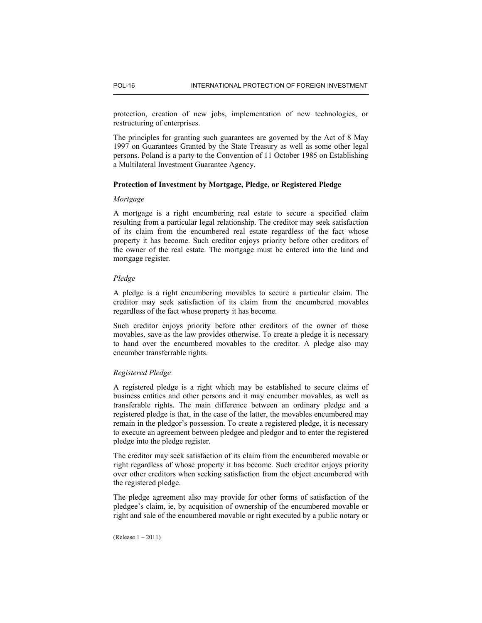protection, creation of new jobs, implementation of new technologies, or restructuring of enterprises.

The principles for granting such guarantees are governed by the Act of 8 May 1997 on Guarantees Granted by the State Treasury as well as some other legal persons. Poland is a party to the Convention of 11 October 1985 on Establishing a Multilateral Investment Guarantee Agency.

## **Protection of Investment by Mortgage, Pledge, or Registered Pledge**

#### *Mortgage*

A mortgage is a right encumbering real estate to secure a specified claim resulting from a particular legal relationship. The creditor may seek satisfaction of its claim from the encumbered real estate regardless of the fact whose property it has become. Such creditor enjoys priority before other creditors of the owner of the real estate. The mortgage must be entered into the land and mortgage register.

#### *Pledge*

A pledge is a right encumbering movables to secure a particular claim. The creditor may seek satisfaction of its claim from the encumbered movables regardless of the fact whose property it has become.

Such creditor enjoys priority before other creditors of the owner of those movables, save as the law provides otherwise. To create a pledge it is necessary to hand over the encumbered movables to the creditor. A pledge also may encumber transferrable rights.

## *Registered Pledge*

A registered pledge is a right which may be established to secure claims of business entities and other persons and it may encumber movables, as well as transferable rights. The main difference between an ordinary pledge and a registered pledge is that, in the case of the latter, the movables encumbered may remain in the pledgor's possession. To create a registered pledge, it is necessary to execute an agreement between pledgee and pledgor and to enter the registered pledge into the pledge register.

The creditor may seek satisfaction of its claim from the encumbered movable or right regardless of whose property it has become. Such creditor enjoys priority over other creditors when seeking satisfaction from the object encumbered with the registered pledge.

The pledge agreement also may provide for other forms of satisfaction of the pledgee's claim, ie, by acquisition of ownership of the encumbered movable or right and sale of the encumbered movable or right executed by a public notary or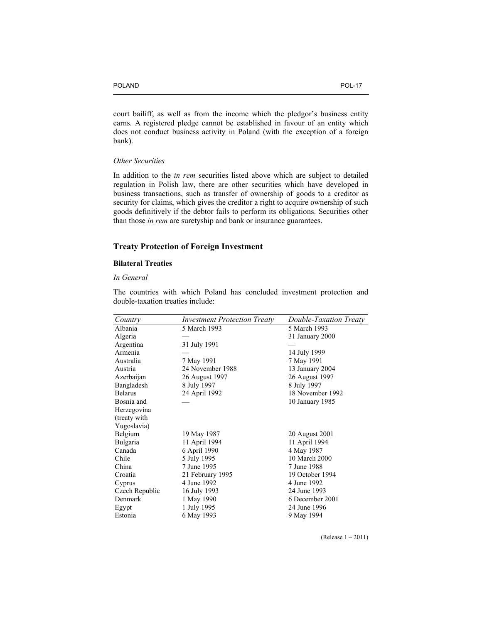court bailiff, as well as from the income which the pledgor's business entity earns. A registered pledge cannot be established in favour of an entity which does not conduct business activity in Poland (with the exception of a foreign bank).

# *Other Securities*

In addition to the *in rem* securities listed above which are subject to detailed regulation in Polish law, there are other securities which have developed in business transactions, such as transfer of ownership of goods to a creditor as security for claims, which gives the creditor a right to acquire ownership of such goods definitively if the debtor fails to perform its obligations. Securities other than those *in rem* are suretyship and bank or insurance guarantees.

# **Treaty Protection of Foreign Investment**

## **Bilateral Treaties**

# *In General*

The countries with which Poland has concluded investment protection and double-taxation treaties include:

| Country        | <b>Investment Protection Treaty</b> | Double-Taxation Treaty |
|----------------|-------------------------------------|------------------------|
| Albania        | 5 March 1993                        | 5 March 1993           |
| Algeria        |                                     | 31 January 2000        |
| Argentina      | 31 July 1991                        |                        |
| Armenia        |                                     | 14 July 1999           |
| Australia      | 7 May 1991                          | 7 May 1991             |
| Austria        | 24 November 1988                    | 13 January 2004        |
| Azerbaijan     | 26 August 1997                      | 26 August 1997         |
| Bangladesh     | 8 July 1997                         | 8 July 1997            |
| <b>Belarus</b> | 24 April 1992                       | 18 November 1992       |
| Bosnia and     |                                     | 10 January 1985        |
| Herzegovina    |                                     |                        |
| (treaty with)  |                                     |                        |
| Yugoslavia)    |                                     |                        |
| Belgium        | 19 May 1987                         | 20 August 2001         |
| Bulgaria       | 11 April 1994                       | 11 April 1994          |
| Canada         | 6 April 1990                        | 4 May 1987             |
| Chile          | 5 July 1995                         | 10 March 2000          |
| China          | 7 June 1995                         | 7 June 1988            |
| Croatia        | 21 February 1995                    | 19 October 1994        |
| Cyprus         | 4 June 1992                         | 4 June 1992            |
| Czech Republic | 16 July 1993                        | 24 June 1993           |
| Denmark        | 1 May 1990                          | 6 December 2001        |
| Egypt          | 1 July 1995                         | 24 June 1996           |
| Estonia        | 6 May 1993                          | 9 May 1994             |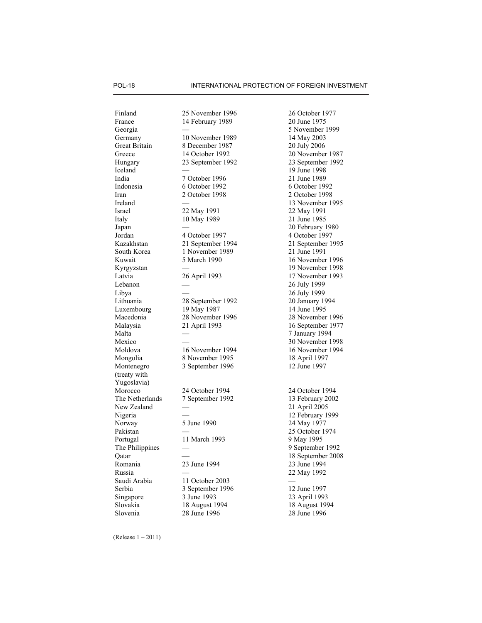Italy 10 May 1989 Latvia Lebanon Mongolia Montenegro (treaty with Yugoslavia) The Netherlands New Zealand The Philippines Qatar Saudi Arabia Serbia

Finland 25 November 1996 26 October 1977 France 14 February 1989 20 June 1975 Georgia — 5 November 1989<br>Germany 10 November 1989 14 May 2003 10 November 1989 Great Britain 8 December 1987 20 July 2006 Greece 14 October 1992 20 November 1987 Hungary 23 September 1992 23 September 1992 Iceland — 19 June 1998 India  $\begin{array}{ccc} 7 \text{ October } 1996 \\ 6 \text{ October } 1992 \end{array}$  21 June 1989 Indonesia 6 October 1992 6 October 1992 Iran 2 October 1998 2 October 1998 Ireland — 13 November 1995 Israel 22 May 1991 22 May 1991<br>10 May 1989 21 June 1985 Japan — 20 February 1980 Jordan 4 October 1997 4 October 1997 Kazakhstan 21 September 1994 21 September 1995 South Korea 1 November 1989 Kuwait 5 March 1990 16 November 1996 Kyrgyzstan — 19 November 1998 26 April 1993  $\overline{\phantom{0}}$ Libya — 26 July 1999 Lithuania 28 September 1992 20 January 1994 Luxembourg 19 May 1987 14 June 1995 Macedonia 28 November 1996 28 November 1996 Malaysia 21 April 1993 16 September 1977 Malta — 7 January 1994 Mexico — Calculated and Contract Mexico — 30 November 1998<br>Moldova 16 November 1994 16 November 1994 Moldova 16 November 1994 16 November 1994 8 November 1995 3 September 1996 Morocco 24 October 1994 24 October 1994 7 September 1992 — Nigeria — 12 February 1999 Norway 5 June 1990 24 May 1977 Pakistan — 25 October 1974 Portugal 11 March 1993 9 May 1995 — ⎯ Romania 23 June 1994 23 June 1994 Russia — 22 May 1992 11 October 2003 3 September 1996 Singapore 3 June 1993 23 April 1993 Slovakia 18 August 1994 18 August 1994 Slovenia 28 June 1996 28 June 1996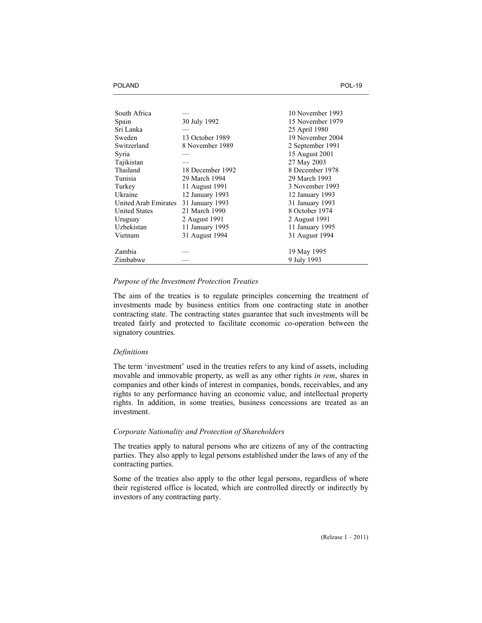| South Africa         |                  | 10 November 1993 |
|----------------------|------------------|------------------|
| Spain                | 30 July 1992     | 15 November 1979 |
| Sri Lanka            |                  | 25 April 1980    |
| Sweden               | 13 October 1989  | 19 November 2004 |
| Switzerland          | 8 November 1989  | 2 September 1991 |
| Syria                |                  | 15 August 2001   |
| Tajikistan           |                  | 27 May 2003      |
| Thailand             | 18 December 1992 | 8 December 1978  |
| Tunisia              | 29 March 1994    | 29 March 1993    |
| Turkey               | 11 August 1991   | 3 November 1993  |
| Ukraine              | 12 January 1993  | 12 January 1993  |
| United Arab Emirates | 31 January 1993  | 31 January 1993  |
| <b>United States</b> | 21 March 1990    | 8 October 1974   |
| Uruguay              | 2 August 1991    | 2 August 1991    |
| Uzbekistan           | 11 January 1995  | 11 January 1995  |
| Vietnam              | 31 August 1994   | 31 August 1994   |
|                      |                  |                  |
| Zambia               |                  | 19 May 1995      |
| Zimbabwe             |                  | 9 July 1993      |

## *Purpose of the Investment Protection Treaties*

The aim of the treaties is to regulate principles concerning the treatment of investments made by business entities from one contracting state in another contracting state. The contracting states guarantee that such investments will be treated fairly and protected to facilitate economic co-operation between the signatory countries.

## *Definitions*

The term 'investment' used in the treaties refers to any kind of assets, including movable and immovable property, as well as any other rights *in rem*, shares in companies and other kinds of interest in companies, bonds, receivables, and any rights to any performance having an economic value, and intellectual property rights. In addition, in some treaties, business concessions are treated as an investment.

## *Corporate Nationality and Protection of Shareholders*

The treaties apply to natural persons who are citizens of any of the contracting parties. They also apply to legal persons established under the laws of any of the contracting parties.

Some of the treaties also apply to the other legal persons, regardless of where their registered office is located, which are controlled directly or indirectly by investors of any contracting party.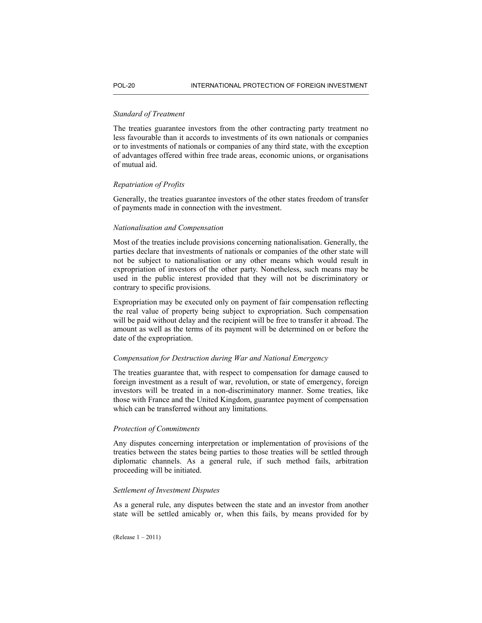## *Standard of Treatment*

The treaties guarantee investors from the other contracting party treatment no less favourable than it accords to investments of its own nationals or companies or to investments of nationals or companies of any third state, with the exception of advantages offered within free trade areas, economic unions, or organisations of mutual aid.

## *Repatriation of Profits*

Generally, the treaties guarantee investors of the other states freedom of transfer of payments made in connection with the investment.

## *Nationalisation and Compensation*

Most of the treaties include provisions concerning nationalisation. Generally, the parties declare that investments of nationals or companies of the other state will not be subject to nationalisation or any other means which would result in expropriation of investors of the other party. Nonetheless, such means may be used in the public interest provided that they will not be discriminatory or contrary to specific provisions.

Expropriation may be executed only on payment of fair compensation reflecting the real value of property being subject to expropriation. Such compensation will be paid without delay and the recipient will be free to transfer it abroad. The amount as well as the terms of its payment will be determined on or before the date of the expropriation.

## *Compensation for Destruction during War and National Emergency*

The treaties guarantee that, with respect to compensation for damage caused to foreign investment as a result of war, revolution, or state of emergency, foreign investors will be treated in a non-discriminatory manner. Some treaties, like those with France and the United Kingdom, guarantee payment of compensation which can be transferred without any limitations.

# *Protection of Commitments*

Any disputes concerning interpretation or implementation of provisions of the treaties between the states being parties to those treaties will be settled through diplomatic channels. As a general rule, if such method fails, arbitration proceeding will be initiated.

## *Settlement of Investment Disputes*

As a general rule, any disputes between the state and an investor from another state will be settled amicably or, when this fails, by means provided for by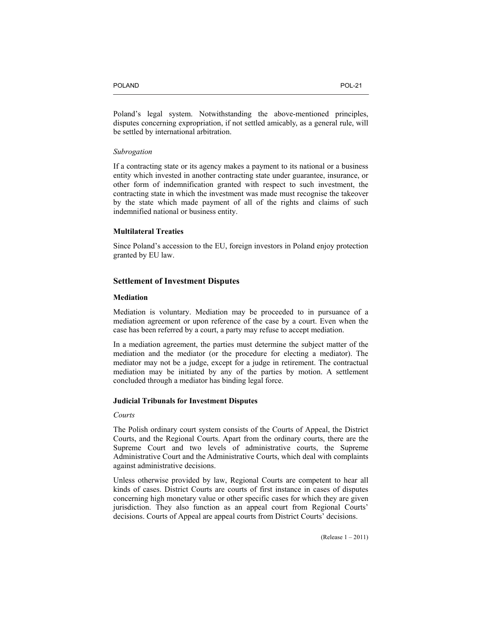Poland's legal system. Notwithstanding the above-mentioned principles, disputes concerning expropriation, if not settled amicably, as a general rule, will be settled by international arbitration.

## *Subrogation*

If a contracting state or its agency makes a payment to its national or a business entity which invested in another contracting state under guarantee, insurance, or other form of indemnification granted with respect to such investment, the contracting state in which the investment was made must recognise the takeover by the state which made payment of all of the rights and claims of such indemnified national or business entity.

## **Multilateral Treaties**

Since Poland's accession to the EU, foreign investors in Poland enjoy protection granted by EU law.

# **Settlement of Investment Disputes**

#### **Mediation**

Mediation is voluntary. Mediation may be proceeded to in pursuance of a mediation agreement or upon reference of the case by a court. Even when the case has been referred by a court, a party may refuse to accept mediation.

In a mediation agreement, the parties must determine the subject matter of the mediation and the mediator (or the procedure for electing a mediator). The mediator may not be a judge, except for a judge in retirement. The contractual mediation may be initiated by any of the parties by motion. A settlement concluded through a mediator has binding legal force.

## **Judicial Tribunals for Investment Disputes**

## *Courts*

The Polish ordinary court system consists of the Courts of Appeal, the District Courts, and the Regional Courts. Apart from the ordinary courts, there are the Supreme Court and two levels of administrative courts, the Supreme Administrative Court and the Administrative Courts, which deal with complaints against administrative decisions.

Unless otherwise provided by law, Regional Courts are competent to hear all kinds of cases. District Courts are courts of first instance in cases of disputes concerning high monetary value or other specific cases for which they are given jurisdiction. They also function as an appeal court from Regional Courts' decisions. Courts of Appeal are appeal courts from District Courts' decisions.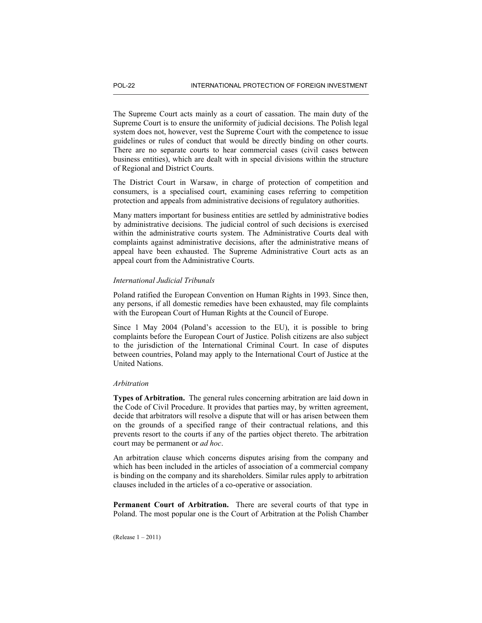The Supreme Court acts mainly as a court of cassation. The main duty of the Supreme Court is to ensure the uniformity of judicial decisions. The Polish legal system does not, however, vest the Supreme Court with the competence to issue guidelines or rules of conduct that would be directly binding on other courts. There are no separate courts to hear commercial cases (civil cases between business entities), which are dealt with in special divisions within the structure of Regional and District Courts.

The District Court in Warsaw, in charge of protection of competition and consumers, is a specialised court, examining cases referring to competition protection and appeals from administrative decisions of regulatory authorities.

Many matters important for business entities are settled by administrative bodies by administrative decisions. The judicial control of such decisions is exercised within the administrative courts system. The Administrative Courts deal with complaints against administrative decisions, after the administrative means of appeal have been exhausted. The Supreme Administrative Court acts as an appeal court from the Administrative Courts.

# *International Judicial Tribunals*

Poland ratified the European Convention on Human Rights in 1993. Since then, any persons, if all domestic remedies have been exhausted, may file complaints with the European Court of Human Rights at the Council of Europe.

Since 1 May 2004 (Poland's accession to the EU), it is possible to bring complaints before the European Court of Justice. Polish citizens are also subject to the jurisdiction of the International Criminal Court. In case of disputes between countries, Poland may apply to the International Court of Justice at the United Nations.

#### *Arbitration*

**Types of Arbitration.** The general rules concerning arbitration are laid down in the Code of Civil Procedure. It provides that parties may, by written agreement, decide that arbitrators will resolve a dispute that will or has arisen between them on the grounds of a specified range of their contractual relations, and this prevents resort to the courts if any of the parties object thereto. The arbitration court may be permanent or *ad hoc*.

An arbitration clause which concerns disputes arising from the company and which has been included in the articles of association of a commercial company is binding on the company and its shareholders. Similar rules apply to arbitration clauses included in the articles of a co-operative or association.

**Permanent Court of Arbitration.** There are several courts of that type in Poland. The most popular one is the Court of Arbitration at the Polish Chamber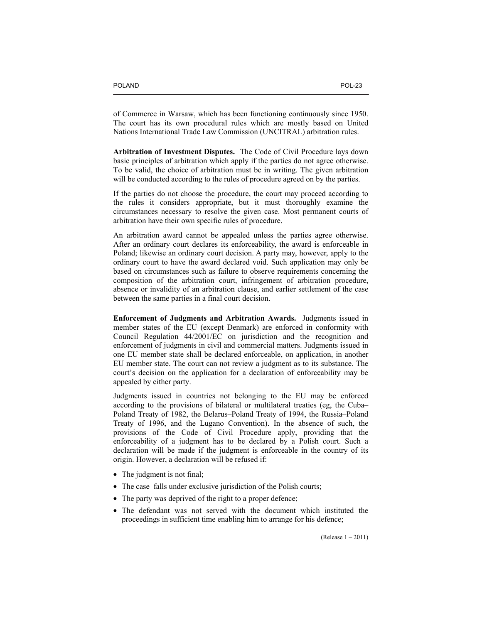of Commerce in Warsaw, which has been functioning continuously since 1950. The court has its own procedural rules which are mostly based on United Nations International Trade Law Commission (UNCITRAL) arbitration rules.

**Arbitration of Investment Disputes.** The Code of Civil Procedure lays down basic principles of arbitration which apply if the parties do not agree otherwise. To be valid, the choice of arbitration must be in writing. The given arbitration will be conducted according to the rules of procedure agreed on by the parties.

If the parties do not choose the procedure, the court may proceed according to the rules it considers appropriate, but it must thoroughly examine the circumstances necessary to resolve the given case. Most permanent courts of arbitration have their own specific rules of procedure.

An arbitration award cannot be appealed unless the parties agree otherwise. After an ordinary court declares its enforceability, the award is enforceable in Poland; likewise an ordinary court decision. A party may, however, apply to the ordinary court to have the award declared void. Such application may only be based on circumstances such as failure to observe requirements concerning the composition of the arbitration court, infringement of arbitration procedure, absence or invalidity of an arbitration clause, and earlier settlement of the case between the same parties in a final court decision.

**Enforcement of Judgments and Arbitration Awards.** Judgments issued in member states of the EU (except Denmark) are enforced in conformity with Council Regulation 44/2001/EC on jurisdiction and the recognition and enforcement of judgments in civil and commercial matters. Judgments issued in one EU member state shall be declared enforceable, on application, in another EU member state. The court can not review a judgment as to its substance. The court's decision on the application for a declaration of enforceability may be appealed by either party.

Judgments issued in countries not belonging to the EU may be enforced according to the provisions of bilateral or multilateral treaties (eg, the Cuba– Poland Treaty of 1982, the Belarus–Poland Treaty of 1994, the Russia–Poland Treaty of 1996, and the Lugano Convention). In the absence of such, the provisions of the Code of Civil Procedure apply, providing that the enforceability of a judgment has to be declared by a Polish court. Such a declaration will be made if the judgment is enforceable in the country of its origin. However, a declaration will be refused if:

- The judgment is not final;
- The case falls under exclusive jurisdiction of the Polish courts;
- The party was deprived of the right to a proper defence;
- The defendant was not served with the document which instituted the proceedings in sufficient time enabling him to arrange for his defence;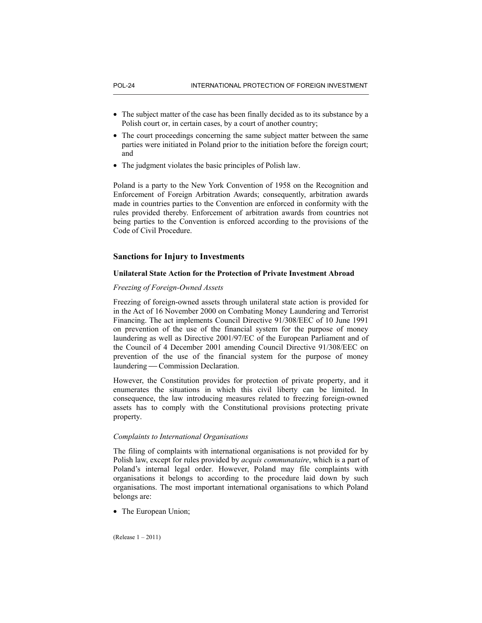- The subject matter of the case has been finally decided as to its substance by a Polish court or, in certain cases, by a court of another country;
- The court proceedings concerning the same subject matter between the same parties were initiated in Poland prior to the initiation before the foreign court; and
- The judgment violates the basic principles of Polish law.

Poland is a party to the New York Convention of 1958 on the Recognition and Enforcement of Foreign Arbitration Awards; consequently, arbitration awards made in countries parties to the Convention are enforced in conformity with the rules provided thereby. Enforcement of arbitration awards from countries not being parties to the Convention is enforced according to the provisions of the Code of Civil Procedure.

# **Sanctions for Injury to Investments**

## **Unilateral State Action for the Protection of Private Investment Abroad**

## *Freezing of Foreign-Owned Assets*

Freezing of foreign-owned assets through unilateral state action is provided for in the Act of 16 November 2000 on Combating Money Laundering and Terrorist Financing. The act implements Council Directive 91/308/EEC of 10 June 1991 on prevention of the use of the financial system for the purpose of money laundering as well as Directive 2001/97/EC of the European Parliament and of the Council of 4 December 2001 amending Council Directive 91/308/EEC on prevention of the use of the financial system for the purpose of money laundering — Commission Declaration.

However, the Constitution provides for protection of private property, and it enumerates the situations in which this civil liberty can be limited. In consequence, the law introducing measures related to freezing foreign-owned assets has to comply with the Constitutional provisions protecting private property.

# *Complaints to International Organisations*

The filing of complaints with international organisations is not provided for by Polish law, except for rules provided by *acquis communataire*, which is a part of Poland's internal legal order. However, Poland may file complaints with organisations it belongs to according to the procedure laid down by such organisations. The most important international organisations to which Poland belongs are:

• The European Union;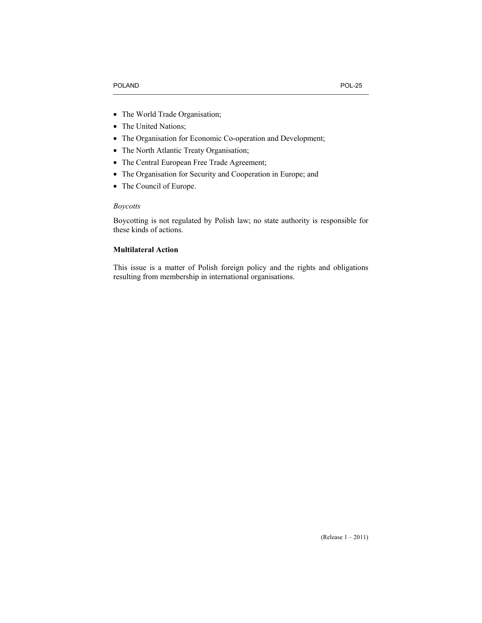- The World Trade Organisation;
- The United Nations;
- The Organisation for Economic Co-operation and Development;
- The North Atlantic Treaty Organisation;
- The Central European Free Trade Agreement;
- The Organisation for Security and Cooperation in Europe; and
- The Council of Europe.

# *Boycotts*

Boycotting is not regulated by Polish law; no state authority is responsible for these kinds of actions.

# **Multilateral Action**

This issue is a matter of Polish foreign policy and the rights and obligations resulting from membership in international organisations.